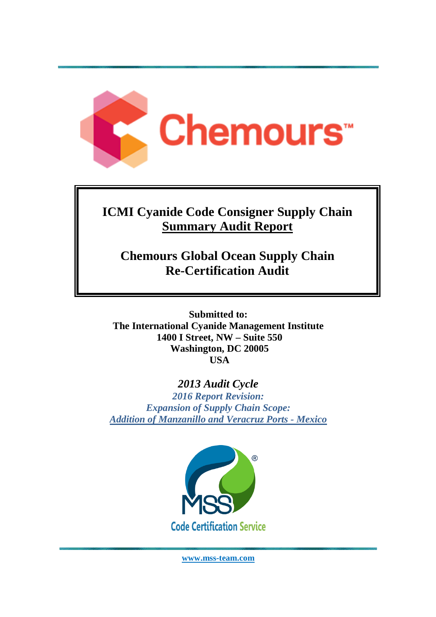

# **ICMI Cyanide Code Consigner Supply Chain Summary Audit Report**

**Chemours Global Ocean Supply Chain Re-Certification Audit** 

**Submitted to: The International Cyanide Management Institute 1400 I Street, NW – Suite 550 Washington, DC 20005 USA** 

# *2013 Audit Cycle*

*2016 Report Revision: Expansion of Supply Chain Scope: Addition of Manzanillo and Veracruz Ports - Mexico* 



**www.mss-team.com**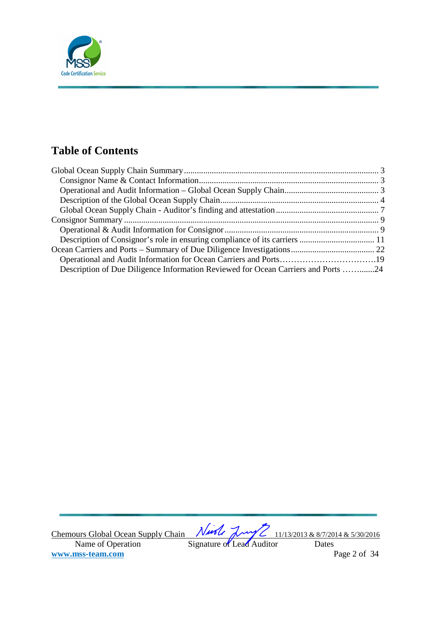

# **Table of Contents**

| Description of Due Diligence Information Reviewed for Ocean Carriers and Ports 24 |  |
|-----------------------------------------------------------------------------------|--|

Chemours Global Ocean Supply Chain  $\sqrt{1/100}$   $\sqrt{1/10}$   $\sqrt{1/13/2013}$  & 8/7/2014 & 5/30/2016 Name of Operation Signature of Lead Auditor Dates **www.mss-team.com** Page 2 of 34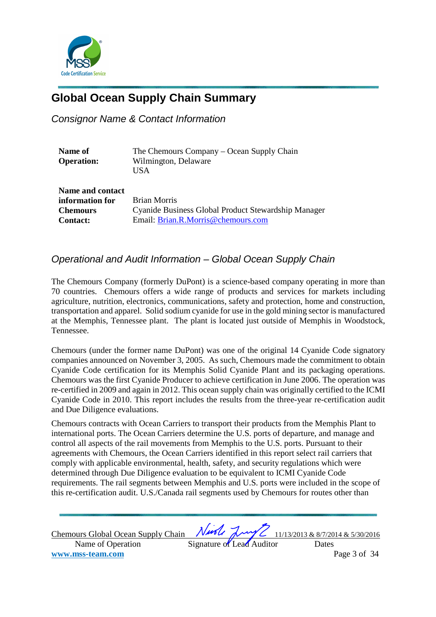

# **Global Ocean Supply Chain Summary**

Consignor Name & Contact Information

| Name of           | The Chemours Company – Ocean Supply Chain           |
|-------------------|-----------------------------------------------------|
| <b>Operation:</b> | Wilmington, Delaware                                |
|                   | USA                                                 |
| Name and contact  |                                                     |
| information for   | <b>Brian Morris</b>                                 |
| <b>Chemours</b>   | Cyanide Business Global Product Stewardship Manager |
| <b>Contact:</b>   | Email: Brian.R.Morris@chemours.com                  |

# Operational and Audit Information – Global Ocean Supply Chain

The Chemours Company (formerly DuPont) is a science-based company operating in more than 70 countries. Chemours offers a wide range of products and services for markets including agriculture, nutrition, electronics, communications, safety and protection, home and construction, transportation and apparel. Solid sodium cyanide for use in the gold mining sector is manufactured at the Memphis, Tennessee plant. The plant is located just outside of Memphis in Woodstock, Tennessee.

Chemours (under the former name DuPont) was one of the original 14 Cyanide Code signatory companies announced on November 3, 2005. As such, Chemours made the commitment to obtain Cyanide Code certification for its Memphis Solid Cyanide Plant and its packaging operations. Chemours was the first Cyanide Producer to achieve certification in June 2006. The operation was re-certified in 2009 and again in 2012. This ocean supply chain was originally certified to the ICMI Cyanide Code in 2010. This report includes the results from the three-year re-certification audit and Due Diligence evaluations.

Chemours contracts with Ocean Carriers to transport their products from the Memphis Plant to international ports. The Ocean Carriers determine the U.S. ports of departure, and manage and control all aspects of the rail movements from Memphis to the U.S. ports. Pursuant to their agreements with Chemours, the Ocean Carriers identified in this report select rail carriers that comply with applicable environmental, health, safety, and security regulations which were determined through Due Diligence evaluation to be equivalent to ICMI Cyanide Code requirements. The rail segments between Memphis and U.S. ports were included in the scope of this re-certification audit. U.S./Canada rail segments used by Chemours for routes other than

Chemours Global Ocean Supply Chain  $\sqrt{1/100}$   $\sqrt{1/10}$   $\sqrt{1/13/2013}$  & 8/7/2014 & 5/30/2016 Name of Operation Signature of Lead Auditor Dates **www.mss-team.com** Page 3 of 34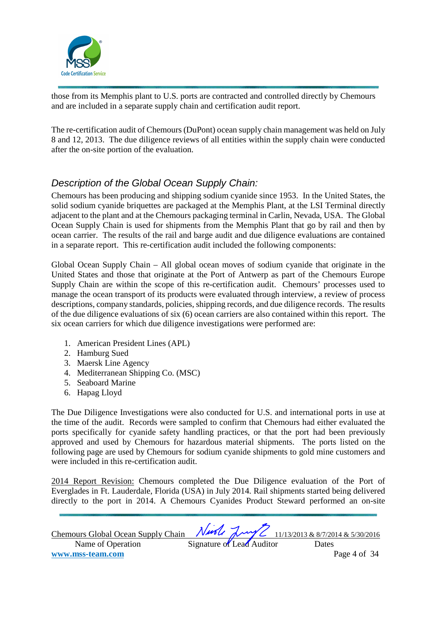

those from its Memphis plant to U.S. ports are contracted and controlled directly by Chemours and are included in a separate supply chain and certification audit report.

The re-certification audit of Chemours (DuPont) ocean supply chain management was held on July 8 and 12, 2013. The due diligence reviews of all entities within the supply chain were conducted after the on-site portion of the evaluation.

# Description of the Global Ocean Supply Chain:

Chemours has been producing and shipping sodium cyanide since 1953. In the United States, the solid sodium cyanide briquettes are packaged at the Memphis Plant, at the LSI Terminal directly adjacent to the plant and at the Chemours packaging terminal in Carlin, Nevada, USA. The Global Ocean Supply Chain is used for shipments from the Memphis Plant that go by rail and then by ocean carrier. The results of the rail and barge audit and due diligence evaluations are contained in a separate report. This re-certification audit included the following components:

Global Ocean Supply Chain – All global ocean moves of sodium cyanide that originate in the United States and those that originate at the Port of Antwerp as part of the Chemours Europe Supply Chain are within the scope of this re-certification audit. Chemours' processes used to manage the ocean transport of its products were evaluated through interview, a review of process descriptions, company standards, policies, shipping records, and due diligence records. The results of the due diligence evaluations of six (6) ocean carriers are also contained within this report. The six ocean carriers for which due diligence investigations were performed are:

- 1. American President Lines (APL)
- 2. Hamburg Sued
- 3. Maersk Line Agency
- 4. Mediterranean Shipping Co. (MSC)
- 5. Seaboard Marine
- 6. Hapag Lloyd

The Due Diligence Investigations were also conducted for U.S. and international ports in use at the time of the audit. Records were sampled to confirm that Chemours had either evaluated the ports specifically for cyanide safety handling practices, or that the port had been previously approved and used by Chemours for hazardous material shipments. The ports listed on the following page are used by Chemours for sodium cyanide shipments to gold mine customers and were included in this re-certification audit.

2014 Report Revision: Chemours completed the Due Diligence evaluation of the Port of Everglades in Ft. Lauderdale, Florida (USA) in July 2014. Rail shipments started being delivered directly to the port in 2014. A Chemours Cyanides Product Steward performed an on-site

| <b>Chemours Global Ocean Supply Chain</b> |                           | Nurle Luy Z 11/13/2013 & 8/7/2014 & 5/30/2016 |
|-------------------------------------------|---------------------------|-----------------------------------------------|
| Name of Operation                         | Signature of Lead Auditor | Dates                                         |
| www.mss-team.com                          |                           | Page 4 of 34                                  |
|                                           |                           |                                               |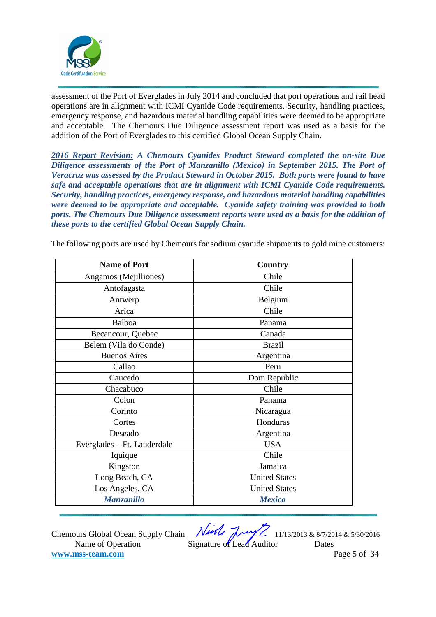

assessment of the Port of Everglades in July 2014 and concluded that port operations and rail head operations are in alignment with ICMI Cyanide Code requirements. Security, handling practices, emergency response, and hazardous material handling capabilities were deemed to be appropriate and acceptable. The Chemours Due Diligence assessment report was used as a basis for the addition of the Port of Everglades to this certified Global Ocean Supply Chain.

*2016 Report Revision: A Chemours Cyanides Product Steward completed the on-site Due Diligence assessments of the Port of Manzanillo (Mexico) in September 2015. The Port of Veracruz was assessed by the Product Steward in October 2015. Both ports were found to have safe and acceptable operations that are in alignment with ICMI Cyanide Code requirements. Security, handling practices, emergency response, and hazardous material handling capabilities were deemed to be appropriate and acceptable. Cyanide safety training was provided to both ports. The Chemours Due Diligence assessment reports were used as a basis for the addition of these ports to the certified Global Ocean Supply Chain.* 

| <b>Name of Port</b>         | <b>Country</b>       |
|-----------------------------|----------------------|
| Angamos (Mejilliones)       | Chile                |
| Antofagasta                 | Chile                |
| Antwerp                     | Belgium              |
| Arica                       | Chile                |
| Balboa                      | Panama               |
| Becancour, Quebec           | Canada               |
| Belem (Vila do Conde)       | <b>Brazil</b>        |
| <b>Buenos Aires</b>         | Argentina            |
| Callao                      | Peru                 |
| Caucedo                     | Dom Republic         |
| Chacabuco                   | Chile                |
| Colon                       | Panama               |
| Corinto                     | Nicaragua            |
| Cortes                      | Honduras             |
| Deseado                     | Argentina            |
| Everglades - Ft. Lauderdale | <b>USA</b>           |
| Iquique                     | Chile                |
| Kingston                    | Jamaica              |
| Long Beach, CA              | <b>United States</b> |
| Los Angeles, CA             | <b>United States</b> |
| <b>Manzanillo</b>           | <b>Mexico</b>        |

The following ports are used by Chemours for sodium cyanide shipments to gold mine customers:

Chemours Global Ocean Supply Chain  $\sqrt{1/100}$   $\sqrt{1/10}$   $\sqrt{1/13/2013}$  & 8/7/2014 & 5/30/2016 Name of Operation Signature of Lead Auditor Dates **www.mss-team.com** Page 5 of 34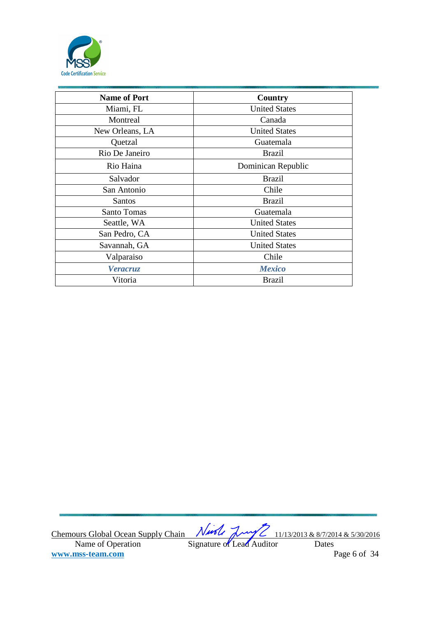

| <b>Name of Port</b> | Country              |
|---------------------|----------------------|
| Miami, FL           | <b>United States</b> |
| Montreal            | Canada               |
| New Orleans, LA     | <b>United States</b> |
| Quetzal             | Guatemala            |
| Rio De Janeiro      | <b>Brazil</b>        |
| Rio Haina           | Dominican Republic   |
| Salvador            | <b>Brazil</b>        |
| San Antonio         | Chile                |
| <b>Santos</b>       | <b>Brazil</b>        |
| Santo Tomas         | Guatemala            |
| Seattle, WA         | <b>United States</b> |
| San Pedro, CA       | <b>United States</b> |
| Savannah, GA        | <b>United States</b> |
| Valparaiso          | Chile                |
| <b>Veracruz</b>     | <b>Mexico</b>        |
| Vitoria             | <b>Brazil</b>        |

Chemours Global Ocean Supply Chain  $\sqrt{1/100}$   $\sqrt{1/10}$   $\sqrt{1/13/2013}$  & 8/7/2014 & 5/30/2016 Name of Operation Signature of Lead Auditor Dates **www.mss-team.com** Page 6 of 34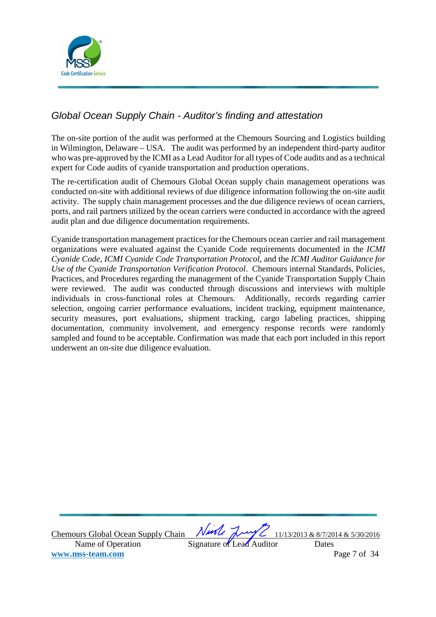

# Global Ocean Supply Chain - Auditor's finding and attestation

The on-site portion of the audit was performed at the Chemours Sourcing and Logistics building in Wilmington, Delaware – USA. The audit was performed by an independent third-party auditor who was pre-approved by the ICMI as a Lead Auditor for all types of Code audits and as a technical expert for Code audits of cyanide transportation and production operations.

The re-certification audit of Chemours Global Ocean supply chain management operations was conducted on-site with additional reviews of due diligence information following the on-site audit activity. The supply chain management processes and the due diligence reviews of ocean carriers, ports, and rail partners utilized by the ocean carriers were conducted in accordance with the agreed audit plan and due diligence documentation requirements.

Cyanide transportation management practices for the Chemours ocean carrier and rail management organizations were evaluated against the Cyanide Code requirements documented in the *ICMI Cyanide Code*, *ICMI Cyanide Code Transportation Protocol*, and the *ICMI Auditor Guidance for Use of the Cyanide Transportation Verification Protocol*. Chemours internal Standards, Policies, Practices, and Procedures regarding the management of the Cyanide Transportation Supply Chain were reviewed. The audit was conducted through discussions and interviews with multiple individuals in cross-functional roles at Chemours. Additionally, records regarding carrier selection, ongoing carrier performance evaluations, incident tracking, equipment maintenance, security measures, port evaluations, shipment tracking, cargo labeling practices, shipping documentation, community involvement, and emergency response records were randomly sampled and found to be acceptable. Confirmation was made that each port included in this report underwent an on-site due diligence evaluation.

Chemours Global Ocean Supply Chain  $\sqrt{1/100}$   $\sqrt{1/10}$   $\sqrt{1/13/2013}$  & 8/7/2014 & 5/30/2016 Name of Operation Signature of Lead Auditor Dates **www.mss-team.com** Page 7 of 34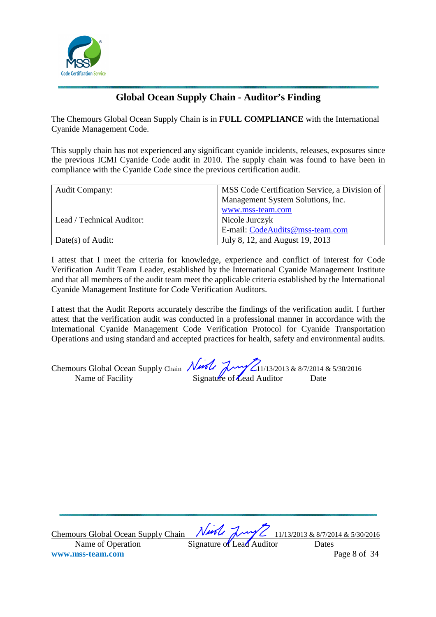

# **Global Ocean Supply Chain - Auditor's Finding**

The Chemours Global Ocean Supply Chain is in **FULL COMPLIANCE** with the International Cyanide Management Code.

This supply chain has not experienced any significant cyanide incidents, releases, exposures since the previous ICMI Cyanide Code audit in 2010. The supply chain was found to have been in compliance with the Cyanide Code since the previous certification audit.

| <b>Audit Company:</b>     | MSS Code Certification Service, a Division of |
|---------------------------|-----------------------------------------------|
|                           | Management System Solutions, Inc.             |
|                           | www.mss-team.com                              |
| Lead / Technical Auditor: | Nicole Jurczyk                                |
|                           | E-mail: CodeAudits@mss-team.com               |
| Date(s) of Audit:         | July 8, 12, and August 19, 2013               |

I attest that I meet the criteria for knowledge, experience and conflict of interest for Code Verification Audit Team Leader, established by the International Cyanide Management Institute and that all members of the audit team meet the applicable criteria established by the International Cyanide Management Institute for Code Verification Auditors.

I attest that the Audit Reports accurately describe the findings of the verification audit. I further attest that the verification audit was conducted in a professional manner in accordance with the International Cyanide Management Code Verification Protocol for Cyanide Transportation Operations and using standard and accepted practices for health, safety and environmental audits.

| Chemours Global Ocean Supply Chain Night Lynn 2013 & 8/7/2014 & 5/30/2016 |  |                           |      |
|---------------------------------------------------------------------------|--|---------------------------|------|
| Name of Facility                                                          |  | Signature of Lead Auditor | Date |

Chemours Global Ocean Supply Chain  $\sqrt{1/100}$   $\sqrt{1/10}$   $\sqrt{1/13/2013}$  & 8/7/2014 & 5/30/2016 Name of Operation Signature of Lead Auditor Dates **www.mss-team.com** Page 8 of 34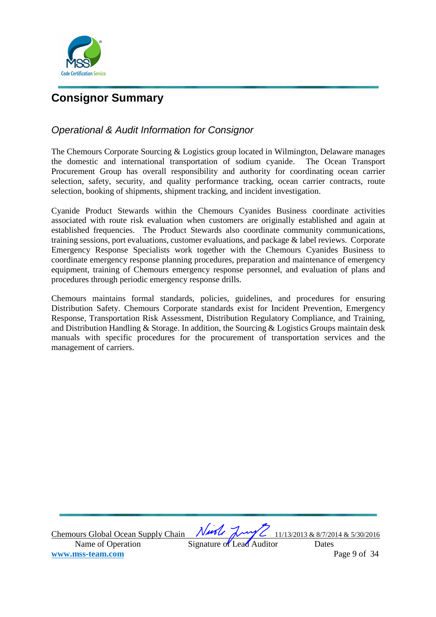

# **Consignor Summary**

# Operational & Audit Information for Consignor

The Chemours Corporate Sourcing & Logistics group located in Wilmington, Delaware manages the domestic and international transportation of sodium cyanide. The Ocean Transport Procurement Group has overall responsibility and authority for coordinating ocean carrier selection, safety, security, and quality performance tracking, ocean carrier contracts, route selection, booking of shipments, shipment tracking, and incident investigation.

Cyanide Product Stewards within the Chemours Cyanides Business coordinate activities associated with route risk evaluation when customers are originally established and again at established frequencies. The Product Stewards also coordinate community communications, training sessions, port evaluations, customer evaluations, and package & label reviews. Corporate Emergency Response Specialists work together with the Chemours Cyanides Business to coordinate emergency response planning procedures, preparation and maintenance of emergency equipment, training of Chemours emergency response personnel, and evaluation of plans and procedures through periodic emergency response drills.

Chemours maintains formal standards, policies, guidelines, and procedures for ensuring Distribution Safety. Chemours Corporate standards exist for Incident Prevention, Emergency Response, Transportation Risk Assessment, Distribution Regulatory Compliance, and Training, and Distribution Handling & Storage. In addition, the Sourcing & Logistics Groups maintain desk manuals with specific procedures for the procurement of transportation services and the management of carriers.

Chemours Global Ocean Supply Chain  $\sqrt{1/100}$   $\sqrt{1/10}$   $\sqrt{1/13/2013}$  & 8/7/2014 & 5/30/2016 Name of Operation Signature of Lead Auditor Dates **www.mss-team.com** Page 9 of 34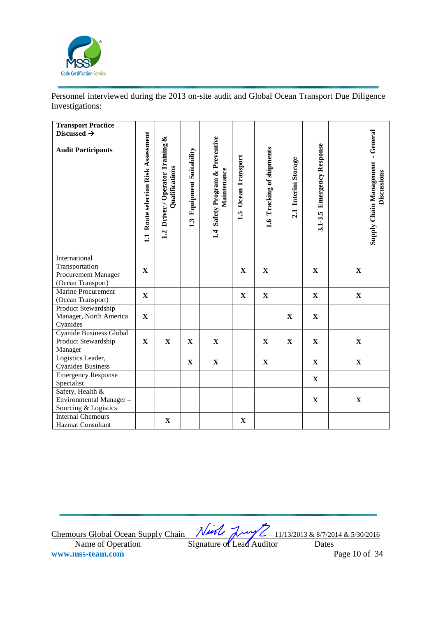

Personnel interviewed during the 2013 on-site audit and Global Ocean Transport Due Diligence Investigations:

| <b>Transport Practice</b><br>Discussed $\rightarrow$<br><b>Audit Participants</b> | Route selection Risk Assessment<br>11 | Driver / Operator Training &<br>Qualifications<br>1.2 | <b>Equipment Suitability</b><br>1.3 | 1.4 Safety Program & Preventive<br>Maintenance | Ocean Transport<br>1.5 | 1.6 Tracking of shipments | 2.1 Interim Storage | <b>Emergency Response</b><br>3.1-3.5 | <b>Supply Chain Management - General</b><br>Discussions |
|-----------------------------------------------------------------------------------|---------------------------------------|-------------------------------------------------------|-------------------------------------|------------------------------------------------|------------------------|---------------------------|---------------------|--------------------------------------|---------------------------------------------------------|
| International<br>Transportation<br>Procurement Manager<br>(Ocean Transport)       | $\mathbf X$                           |                                                       |                                     |                                                | $\mathbf X$            | $\mathbf X$               |                     | $\mathbf X$                          | $\mathbf X$                                             |
| Marine Procurement<br>(Ocean Transport)                                           | $\mathbf X$                           |                                                       |                                     |                                                | $\mathbf X$            | $\mathbf X$               |                     | $\mathbf X$                          | $\mathbf X$                                             |
| Product Stewardship<br>Manager, North America<br>Cyanides                         | $\mathbf X$                           |                                                       |                                     |                                                |                        |                           | $\mathbf X$         | $\mathbf{X}$                         |                                                         |
| <b>Cyanide Business Global</b><br>Product Stewardship<br>Manager                  | $\mathbf X$                           | $\mathbf X$                                           | $\mathbf X$                         | $\mathbf X$                                    |                        | $\mathbf X$               | $\mathbf X$         | $\mathbf X$                          | $\mathbf X$                                             |
| Logistics Leader,<br><b>Cyanides Business</b>                                     |                                       |                                                       | $\mathbf X$                         | $\mathbf X$                                    |                        | $\mathbf X$               |                     | $\mathbf X$                          | $\mathbf X$                                             |
| <b>Emergency Response</b><br>Specialist                                           |                                       |                                                       |                                     |                                                |                        |                           |                     | $\mathbf X$                          |                                                         |
| Safety, Health &<br>Environmental Manager-<br>Sourcing & Logistics                |                                       |                                                       |                                     |                                                |                        |                           |                     | $\mathbf X$                          | $\mathbf X$                                             |
| <b>Internal Chemours</b><br>Hazmat Consultant                                     |                                       | $\mathbf X$                                           |                                     |                                                | $\mathbf X$            |                           |                     |                                      |                                                         |

Chemours Global Ocean Supply Chain  $\sqrt{1/100}$   $\sqrt{1/10}$   $\sqrt{1/13/2013}$  & 8/7/2014 & 5/30/2016 Name of Operation Signature of Lead Auditor Dates **www.mss-team.com** Page 10 of 34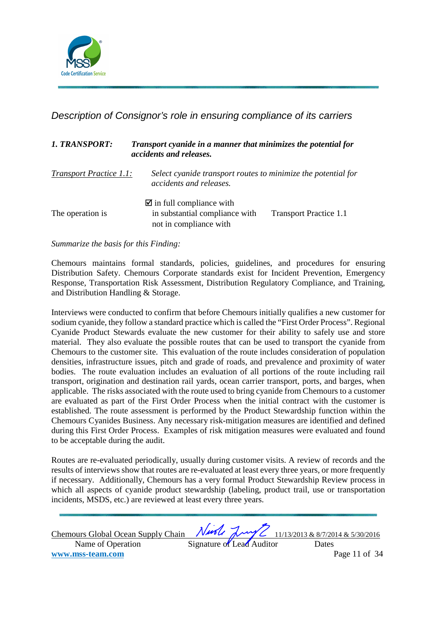

Description of Consignor's role in ensuring compliance of its carriers

| <b>1. TRANSPORT:</b>           | Transport cyanide in a manner that minimizes the potential for<br>accidents and releases.          |                               |  |  |  |
|--------------------------------|----------------------------------------------------------------------------------------------------|-------------------------------|--|--|--|
| <b>Transport Practice 1.1:</b> | Select cyanide transport routes to minimize the potential for<br>accidents and releases.           |                               |  |  |  |
| The operation is               | $\blacksquare$ in full compliance with<br>in substantial compliance with<br>not in compliance with | <b>Transport Practice 1.1</b> |  |  |  |

*Summarize the basis for this Finding:* 

Chemours maintains formal standards, policies, guidelines, and procedures for ensuring Distribution Safety. Chemours Corporate standards exist for Incident Prevention, Emergency Response, Transportation Risk Assessment, Distribution Regulatory Compliance, and Training, and Distribution Handling & Storage.

Interviews were conducted to confirm that before Chemours initially qualifies a new customer for sodium cyanide, they follow a standard practice which is called the "First Order Process". Regional Cyanide Product Stewards evaluate the new customer for their ability to safely use and store material. They also evaluate the possible routes that can be used to transport the cyanide from Chemours to the customer site. This evaluation of the route includes consideration of population densities, infrastructure issues, pitch and grade of roads, and prevalence and proximity of water bodies. The route evaluation includes an evaluation of all portions of the route including rail transport, origination and destination rail yards, ocean carrier transport, ports, and barges, when applicable. The risks associated with the route used to bring cyanide from Chemours to a customer are evaluated as part of the First Order Process when the initial contract with the customer is established. The route assessment is performed by the Product Stewardship function within the Chemours Cyanides Business. Any necessary risk-mitigation measures are identified and defined during this First Order Process. Examples of risk mitigation measures were evaluated and found to be acceptable during the audit.

Routes are re-evaluated periodically, usually during customer visits. A review of records and the results of interviews show that routes are re-evaluated at least every three years, or more frequently if necessary. Additionally, Chemours has a very formal Product Stewardship Review process in which all aspects of cyanide product stewardship (labeling, product trail, use or transportation incidents, MSDS, etc.) are reviewed at least every three years.

| Chemours Global Ocean Supply Chain Night Laws 11/13/2013 & 8/7/2014 & 5/30/2016 |                           |  |               |
|---------------------------------------------------------------------------------|---------------------------|--|---------------|
| Name of Operation                                                               | Signature of Lead Auditor |  | Dates         |
| www.mss-team.com                                                                |                           |  | Page 11 of 34 |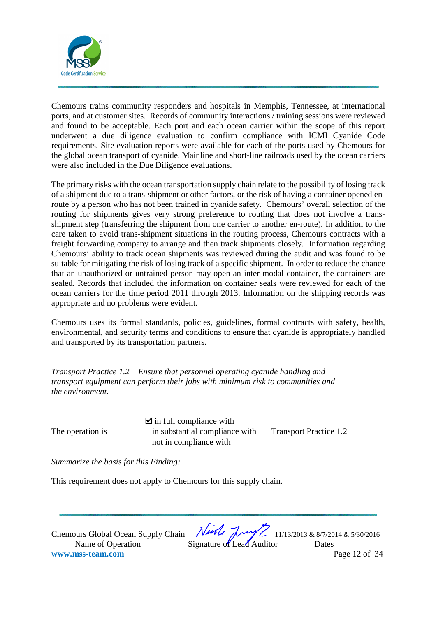

Chemours trains community responders and hospitals in Memphis, Tennessee, at international ports, and at customer sites. Records of community interactions / training sessions were reviewed and found to be acceptable. Each port and each ocean carrier within the scope of this report underwent a due diligence evaluation to confirm compliance with ICMI Cyanide Code requirements. Site evaluation reports were available for each of the ports used by Chemours for the global ocean transport of cyanide. Mainline and short-line railroads used by the ocean carriers were also included in the Due Diligence evaluations.

The primary risks with the ocean transportation supply chain relate to the possibility of losing track of a shipment due to a trans-shipment or other factors, or the risk of having a container opened enroute by a person who has not been trained in cyanide safety. Chemours' overall selection of the routing for shipments gives very strong preference to routing that does not involve a transshipment step (transferring the shipment from one carrier to another en-route). In addition to the care taken to avoid trans-shipment situations in the routing process, Chemours contracts with a freight forwarding company to arrange and then track shipments closely. Information regarding Chemours' ability to track ocean shipments was reviewed during the audit and was found to be suitable for mitigating the risk of losing track of a specific shipment. In order to reduce the chance that an unauthorized or untrained person may open an inter-modal container, the containers are sealed. Records that included the information on container seals were reviewed for each of the ocean carriers for the time period 2011 through 2013. Information on the shipping records was appropriate and no problems were evident.

Chemours uses its formal standards, policies, guidelines, formal contracts with safety, health, environmental, and security terms and conditions to ensure that cyanide is appropriately handled and transported by its transportation partners.

*Transport Practice 1.2 Ensure that personnel operating cyanide handling and transport equipment can perform their jobs with minimum risk to communities and the environment.* 

 $\blacksquare$  in full compliance with The operation is  $\qquad \qquad$  in substantial compliance with Transport Practice 1.2 not in compliance with

*Summarize the basis for this Finding:* 

This requirement does not apply to Chemours for this supply chain.

Chemours Global Ocean Supply Chain  $\sqrt{1/100}$   $\sqrt{1/10}$   $\sqrt{1/13/2013}$  & 8/7/2014 & 5/30/2016 Name of Operation Signature of Lead Auditor Dates **www.mss-team.com** Page 12 of 34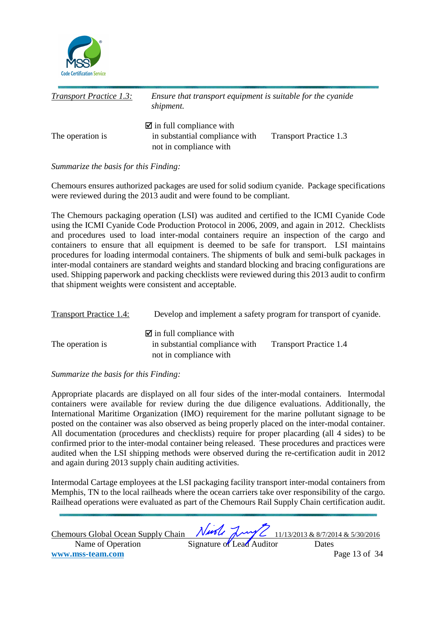

| <b>Transport Practice 1.3:</b> | Ensure that transport equipment is suitable for the cyanide<br>shipment.                           |                               |  |  |
|--------------------------------|----------------------------------------------------------------------------------------------------|-------------------------------|--|--|
| The operation is               | $\blacksquare$ in full compliance with<br>in substantial compliance with<br>not in compliance with | <b>Transport Practice 1.3</b> |  |  |

## *Summarize the basis for this Finding:*

Chemours ensures authorized packages are used for solid sodium cyanide. Package specifications were reviewed during the 2013 audit and were found to be compliant.

The Chemours packaging operation (LSI) was audited and certified to the ICMI Cyanide Code using the ICMI Cyanide Code Production Protocol in 2006, 2009, and again in 2012. Checklists and procedures used to load inter-modal containers require an inspection of the cargo and containers to ensure that all equipment is deemed to be safe for transport. LSI maintains procedures for loading intermodal containers. The shipments of bulk and semi-bulk packages in inter-modal containers are standard weights and standard blocking and bracing configurations are used. Shipping paperwork and packing checklists were reviewed during this 2013 audit to confirm that shipment weights were consistent and acceptable.

| <b>Transport Practice 1.4:</b> |                                                                                                    | Develop and implement a safety program for transport of cyanide. |
|--------------------------------|----------------------------------------------------------------------------------------------------|------------------------------------------------------------------|
| The operation is               | $\blacksquare$ in full compliance with<br>in substantial compliance with<br>not in compliance with | <b>Transport Practice 1.4</b>                                    |

## *Summarize the basis for this Finding:*

Appropriate placards are displayed on all four sides of the inter-modal containers. Intermodal containers were available for review during the due diligence evaluations. Additionally, the International Maritime Organization (IMO) requirement for the marine pollutant signage to be posted on the container was also observed as being properly placed on the inter-modal container. All documentation (procedures and checklists) require for proper placarding (all 4 sides) to be confirmed prior to the inter-modal container being released. These procedures and practices were audited when the LSI shipping methods were observed during the re-certification audit in 2012 and again during 2013 supply chain auditing activities.

Intermodal Cartage employees at the LSI packaging facility transport inter-modal containers from Memphis, TN to the local railheads where the ocean carriers take over responsibility of the cargo. Railhead operations were evaluated as part of the Chemours Rail Supply Chain certification audit.

| <b>Chemours Global Ocean Supply Chain</b> |                           |  | Nuole Luy 2 11/13/2013 & 8/7/2014 & 5/30/2016 |
|-------------------------------------------|---------------------------|--|-----------------------------------------------|
| Name of Operation                         | Signature of Lead Auditor |  | Dates                                         |
| www.mss-team.com                          |                           |  | Page 13 of 34                                 |
|                                           |                           |  |                                               |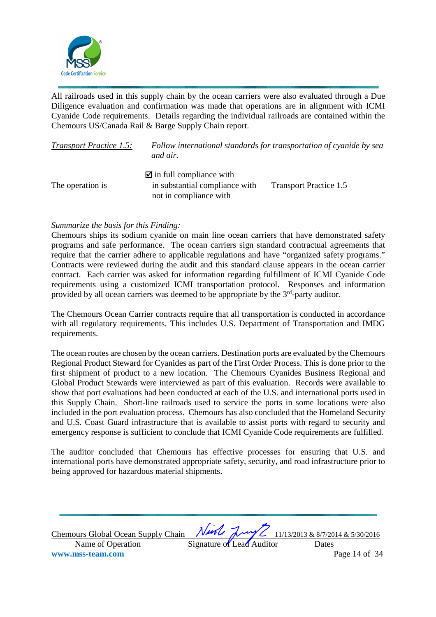

All railroads used in this supply chain by the ocean carriers were also evaluated through a Due Diligence evaluation and confirmation was made that operations are in alignment with ICMI Cyanide Code requirements. Details regarding the individual railroads are contained within the Chemours US/Canada Rail & Barge Supply Chain report.

| <b>Transport Practice 1.5:</b> | Follow international standards for transportation of cyanide by sea<br>and air. |                               |
|--------------------------------|---------------------------------------------------------------------------------|-------------------------------|
|                                | $\blacksquare$ in full compliance with                                          |                               |
| The operation is               | in substantial compliance with<br>not in compliance with                        | <b>Transport Practice 1.5</b> |

## *Summarize the basis for this Finding:*

Chemours ships its sodium cyanide on main line ocean carriers that have demonstrated safety programs and safe performance. The ocean carriers sign standard contractual agreements that require that the carrier adhere to applicable regulations and have "organized safety programs." Contracts were reviewed during the audit and this standard clause appears in the ocean carrier contract. Each carrier was asked for information regarding fulfillment of ICMI Cyanide Code requirements using a customized ICMI transportation protocol. Responses and information provided by all ocean carriers was deemed to be appropriate by the  $3<sup>rd</sup>$ -party auditor.

The Chemours Ocean Carrier contracts require that all transportation is conducted in accordance with all regulatory requirements. This includes U.S. Department of Transportation and IMDG requirements.

The ocean routes are chosen by the ocean carriers. Destination ports are evaluated by the Chemours Regional Product Steward for Cyanides as part of the First Order Process. This is done prior to the first shipment of product to a new location. The Chemours Cyanides Business Regional and Global Product Stewards were interviewed as part of this evaluation. Records were available to show that port evaluations had been conducted at each of the U.S. and international ports used in this Supply Chain. Short-line railroads used to service the ports in some locations were also included in the port evaluation process. Chemours has also concluded that the Homeland Security and U.S. Coast Guard infrastructure that is available to assist ports with regard to security and emergency response is sufficient to conclude that ICMI Cyanide Code requirements are fulfilled.

The auditor concluded that Chemours has effective processes for ensuring that U.S. and international ports have demonstrated appropriate safety, security, and road infrastructure prior to being approved for hazardous material shipments.

| Chemours Global Ocean Supply Chain Night Laws 2 11/13/2013 & 8/7/2014 & 5/30/2016 |                           |               |  |
|-----------------------------------------------------------------------------------|---------------------------|---------------|--|
| Name of Operation                                                                 | Signature of Lead Auditor | Dates         |  |
| www.mss-team.com                                                                  |                           | Page 14 of 34 |  |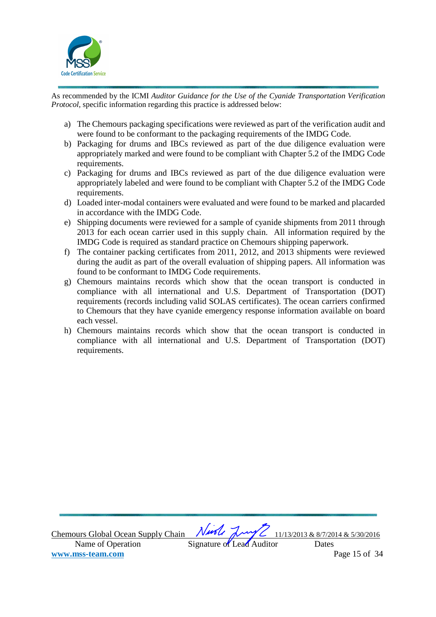

As recommended by the ICMI *Auditor Guidance for the Use of the Cyanide Transportation Verification Protocol,* specific information regarding this practice is addressed below:

- a) The Chemours packaging specifications were reviewed as part of the verification audit and were found to be conformant to the packaging requirements of the IMDG Code.
- b) Packaging for drums and IBCs reviewed as part of the due diligence evaluation were appropriately marked and were found to be compliant with Chapter 5.2 of the IMDG Code requirements.
- c) Packaging for drums and IBCs reviewed as part of the due diligence evaluation were appropriately labeled and were found to be compliant with Chapter 5.2 of the IMDG Code requirements.
- d) Loaded inter-modal containers were evaluated and were found to be marked and placarded in accordance with the IMDG Code.
- e) Shipping documents were reviewed for a sample of cyanide shipments from 2011 through 2013 for each ocean carrier used in this supply chain. All information required by the IMDG Code is required as standard practice on Chemours shipping paperwork.
- f) The container packing certificates from 2011, 2012, and 2013 shipments were reviewed during the audit as part of the overall evaluation of shipping papers. All information was found to be conformant to IMDG Code requirements.
- g) Chemours maintains records which show that the ocean transport is conducted in compliance with all international and U.S. Department of Transportation (DOT) requirements (records including valid SOLAS certificates). The ocean carriers confirmed to Chemours that they have cyanide emergency response information available on board each vessel.
- h) Chemours maintains records which show that the ocean transport is conducted in compliance with all international and U.S. Department of Transportation (DOT) requirements.

Chemours Global Ocean Supply Chain  $\sqrt{1/100}$   $\sqrt{1/10}$   $\sqrt{1/13/2013}$  & 8/7/2014 & 5/30/2016 Name of Operation Signature of Lead Auditor Dates **www.mss-team.com** Page 15 of 34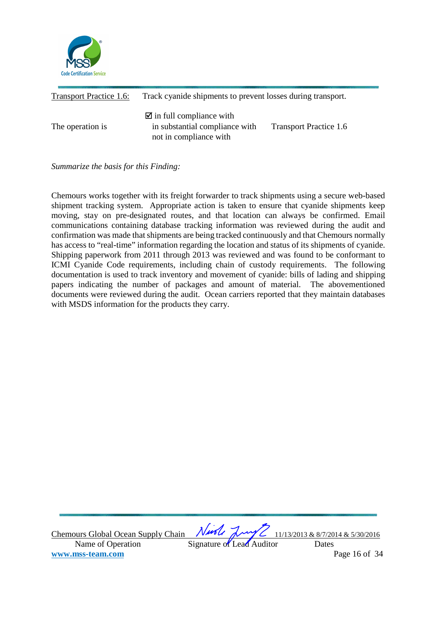

| Transport Practice 1.6: | Track cyanide shipments to prevent losses during transport.                                        |                               |
|-------------------------|----------------------------------------------------------------------------------------------------|-------------------------------|
| The operation is        | $\blacksquare$ in full compliance with<br>in substantial compliance with<br>not in compliance with | <b>Transport Practice 1.6</b> |

*Summarize the basis for this Finding:*

Chemours works together with its freight forwarder to track shipments using a secure web-based shipment tracking system. Appropriate action is taken to ensure that cyanide shipments keep moving, stay on pre-designated routes, and that location can always be confirmed. Email communications containing database tracking information was reviewed during the audit and confirmation was made that shipments are being tracked continuously and that Chemours normally has access to "real-time" information regarding the location and status of its shipments of cyanide. Shipping paperwork from 2011 through 2013 was reviewed and was found to be conformant to ICMI Cyanide Code requirements, including chain of custody requirements. The following documentation is used to track inventory and movement of cyanide: bills of lading and shipping papers indicating the number of packages and amount of material. The abovementioned documents were reviewed during the audit. Ocean carriers reported that they maintain databases with MSDS information for the products they carry.

Chemours Global Ocean Supply Chain  $\sqrt{1/100}$   $\sqrt{1/10}$   $\sqrt{1/13/2013}$  & 8/7/2014 & 5/30/2016 Name of Operation Signature of Lead Auditor Dates **www.mss-team.com** Page 16 of 34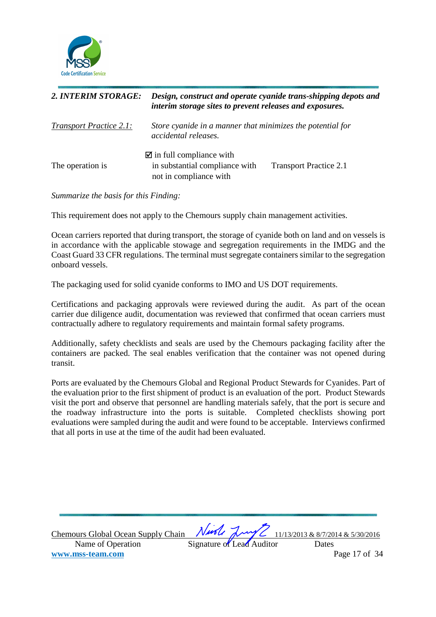

| 2. INTERIM STORAGE:            | Design, construct and operate cyanide trans-shipping depots and<br>interim storage sites to prevent releases and exposures. |                               |
|--------------------------------|-----------------------------------------------------------------------------------------------------------------------------|-------------------------------|
| <b>Transport Practice 2.1:</b> | Store cyanide in a manner that minimizes the potential for<br>accidental releases.                                          |                               |
| The operation is               | $\blacksquare$ in full compliance with<br>in substantial compliance with<br>not in compliance with                          | <b>Transport Practice 2.1</b> |

*Summarize the basis for this Finding:* 

This requirement does not apply to the Chemours supply chain management activities.

Ocean carriers reported that during transport, the storage of cyanide both on land and on vessels is in accordance with the applicable stowage and segregation requirements in the IMDG and the Coast Guard 33 CFR regulations. The terminal must segregate containers similar to the segregation onboard vessels.

The packaging used for solid cyanide conforms to IMO and US DOT requirements.

Certifications and packaging approvals were reviewed during the audit. As part of the ocean carrier due diligence audit, documentation was reviewed that confirmed that ocean carriers must contractually adhere to regulatory requirements and maintain formal safety programs.

Additionally, safety checklists and seals are used by the Chemours packaging facility after the containers are packed. The seal enables verification that the container was not opened during transit.

Ports are evaluated by the Chemours Global and Regional Product Stewards for Cyanides. Part of the evaluation prior to the first shipment of product is an evaluation of the port. Product Stewards visit the port and observe that personnel are handling materials safely, that the port is secure and the roadway infrastructure into the ports is suitable. Completed checklists showing port evaluations were sampled during the audit and were found to be acceptable. Interviews confirmed that all ports in use at the time of the audit had been evaluated.

Chemours Global Ocean Supply Chain  $\sqrt{1/100}$   $\sqrt{1/10}$   $\sqrt{1/13/2013}$  & 8/7/2014 & 5/30/2016 Name of Operation Signature of Lead Auditor Dates **www.mss-team.com** Page 17 of 34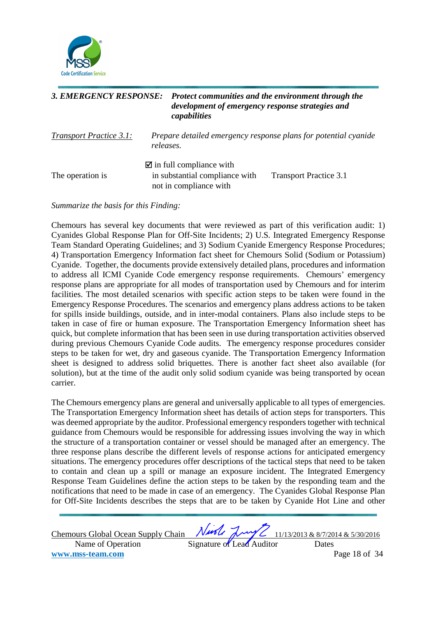

# *3. EMERGENCY RESPONSE: Protect communities and the environment through the development of emergency response strategies and capabilities Transport Practice 3.1: Prepare detailed emergency response plans for potential cyanide releases.*   $\blacksquare$  in full compliance with The operation is in substantial compliance with Transport Practice 3.1 not in compliance with

*Summarize the basis for this Finding:* 

Chemours has several key documents that were reviewed as part of this verification audit: 1) Cyanides Global Response Plan for Off-Site Incidents; 2) U.S. Integrated Emergency Response Team Standard Operating Guidelines; and 3) Sodium Cyanide Emergency Response Procedures; 4) Transportation Emergency Information fact sheet for Chemours Solid (Sodium or Potassium) Cyanide. Together, the documents provide extensively detailed plans, procedures and information to address all ICMI Cyanide Code emergency response requirements. Chemours' emergency response plans are appropriate for all modes of transportation used by Chemours and for interim facilities. The most detailed scenarios with specific action steps to be taken were found in the Emergency Response Procedures. The scenarios and emergency plans address actions to be taken for spills inside buildings, outside, and in inter-modal containers. Plans also include steps to be taken in case of fire or human exposure. The Transportation Emergency Information sheet has quick, but complete information that has been seen in use during transportation activities observed during previous Chemours Cyanide Code audits. The emergency response procedures consider steps to be taken for wet, dry and gaseous cyanide. The Transportation Emergency Information sheet is designed to address solid briquettes. There is another fact sheet also available (for solution), but at the time of the audit only solid sodium cyanide was being transported by ocean carrier.

The Chemours emergency plans are general and universally applicable to all types of emergencies. The Transportation Emergency Information sheet has details of action steps for transporters. This was deemed appropriate by the auditor. Professional emergency responders together with technical guidance from Chemours would be responsible for addressing issues involving the way in which the structure of a transportation container or vessel should be managed after an emergency. The three response plans describe the different levels of response actions for anticipated emergency situations. The emergency procedures offer descriptions of the tactical steps that need to be taken to contain and clean up a spill or manage an exposure incident. The Integrated Emergency Response Team Guidelines define the action steps to be taken by the responding team and the notifications that need to be made in case of an emergency. The Cyanides Global Response Plan for Off-Site Incidents describes the steps that are to be taken by Cyanide Hot Line and other

Chemours Global Ocean Supply Chain  $\sqrt{1/100}$   $\sqrt{1/10}$   $\sqrt{1/13/2013}$  & 8/7/2014 & 5/30/2016 Name of Operation Signature of Lead Auditor Dates **www.mss-team.com** Page 18 of 34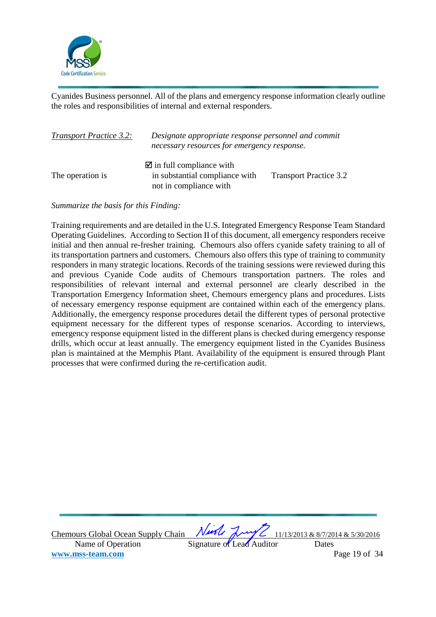

Cyanides Business personnel. All of the plans and emergency response information clearly outline the roles and responsibilities of internal and external responders.

| <b>Transport Practice 3.2:</b> | Designate appropriate response personnel and commit<br>necessary resources for emergency response. |                               |
|--------------------------------|----------------------------------------------------------------------------------------------------|-------------------------------|
| The operation is               | $\blacksquare$ in full compliance with<br>in substantial compliance with<br>not in compliance with | <b>Transport Practice 3.2</b> |

*Summarize the basis for this Finding:* 

Training requirements and are detailed in the U.S. Integrated Emergency Response Team Standard Operating Guidelines. According to Section II of this document, all emergency responders receive initial and then annual re-fresher training. Chemours also offers cyanide safety training to all of its transportation partners and customers. Chemours also offers this type of training to community responders in many strategic locations. Records of the training sessions were reviewed during this and previous Cyanide Code audits of Chemours transportation partners. The roles and responsibilities of relevant internal and external personnel are clearly described in the Transportation Emergency Information sheet, Chemours emergency plans and procedures. Lists of necessary emergency response equipment are contained within each of the emergency plans. Additionally, the emergency response procedures detail the different types of personal protective equipment necessary for the different types of response scenarios. According to interviews, emergency response equipment listed in the different plans is checked during emergency response drills, which occur at least annually. The emergency equipment listed in the Cyanides Business plan is maintained at the Memphis Plant. Availability of the equipment is ensured through Plant processes that were confirmed during the re-certification audit.

Chemours Global Ocean Supply Chain  $\sqrt{1/100}$   $\sqrt{1/10}$   $\sqrt{1/13/2013}$  & 8/7/2014 & 5/30/2016 Name of Operation Signature of Lead Auditor Dates **www.mss-team.com** Page 19 of 34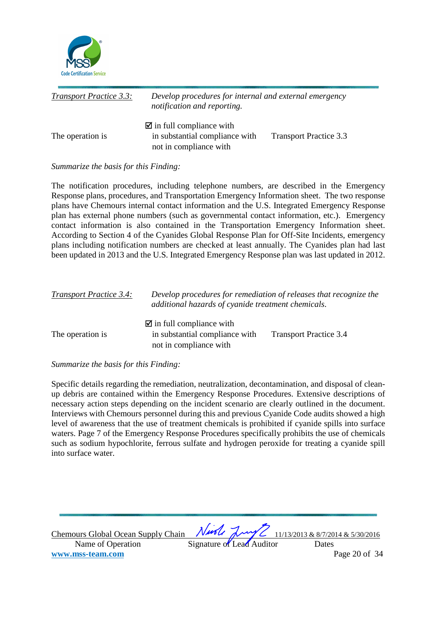

| <b>Transport Practice 3.3:</b> | Develop procedures for internal and external emergency<br>notification and reporting.              |                               |
|--------------------------------|----------------------------------------------------------------------------------------------------|-------------------------------|
| The operation is               | $\blacksquare$ in full compliance with<br>in substantial compliance with<br>not in compliance with | <b>Transport Practice 3.3</b> |

## *Summarize the basis for this Finding:*

The notification procedures, including telephone numbers, are described in the Emergency Response plans, procedures, and Transportation Emergency Information sheet. The two response plans have Chemours internal contact information and the U.S. Integrated Emergency Response plan has external phone numbers (such as governmental contact information, etc.). Emergency contact information is also contained in the Transportation Emergency Information sheet. According to Section 4 of the Cyanides Global Response Plan for Off-Site Incidents, emergency plans including notification numbers are checked at least annually. The Cyanides plan had last been updated in 2013 and the U.S. Integrated Emergency Response plan was last updated in 2012.

| <b>Transport Practice 3.4:</b> | additional hazards of cyanide treatment chemicals.                                                 | Develop procedures for remediation of releases that recognize the |  |
|--------------------------------|----------------------------------------------------------------------------------------------------|-------------------------------------------------------------------|--|
| The operation is               | $\blacksquare$ in full compliance with<br>in substantial compliance with<br>not in compliance with | <b>Transport Practice 3.4</b>                                     |  |

## *Summarize the basis for this Finding:*

Specific details regarding the remediation, neutralization, decontamination, and disposal of cleanup debris are contained within the Emergency Response Procedures. Extensive descriptions of necessary action steps depending on the incident scenario are clearly outlined in the document. Interviews with Chemours personnel during this and previous Cyanide Code audits showed a high level of awareness that the use of treatment chemicals is prohibited if cyanide spills into surface waters. Page 7 of the Emergency Response Procedures specifically prohibits the use of chemicals such as sodium hypochlorite, ferrous sulfate and hydrogen peroxide for treating a cyanide spill into surface water.

| Chemours Global Ocean Supply Chain Night Laws 11/13/2013 & 8/7/2014 & 5/30/2016 |                           |               |
|---------------------------------------------------------------------------------|---------------------------|---------------|
| Name of Operation                                                               | Signature of Lead Auditor | Dates         |
| www.mss-team.com                                                                |                           | Page 20 of 34 |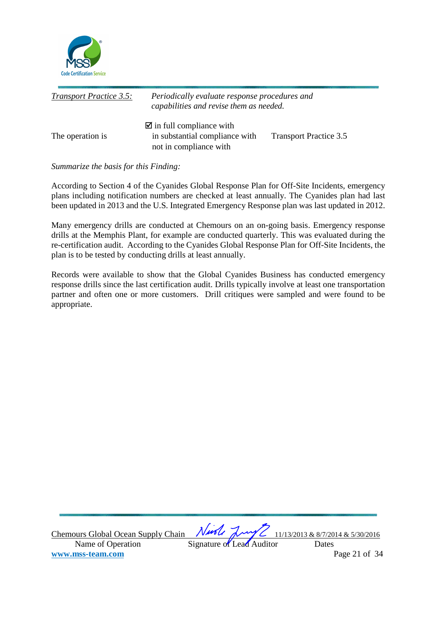

| <b>Transport Practice 3.5:</b> | Periodically evaluate response procedures and<br>capabilities and revise them as needed.           |                               |
|--------------------------------|----------------------------------------------------------------------------------------------------|-------------------------------|
| The operation is               | $\blacksquare$ in full compliance with<br>in substantial compliance with<br>not in compliance with | <b>Transport Practice 3.5</b> |

## *Summarize the basis for this Finding:*

According to Section 4 of the Cyanides Global Response Plan for Off-Site Incidents, emergency plans including notification numbers are checked at least annually. The Cyanides plan had last been updated in 2013 and the U.S. Integrated Emergency Response plan was last updated in 2012.

Many emergency drills are conducted at Chemours on an on-going basis. Emergency response drills at the Memphis Plant, for example are conducted quarterly. This was evaluated during the re-certification audit. According to the Cyanides Global Response Plan for Off-Site Incidents, the plan is to be tested by conducting drills at least annually.

Records were available to show that the Global Cyanides Business has conducted emergency response drills since the last certification audit. Drills typically involve at least one transportation partner and often one or more customers. Drill critiques were sampled and were found to be appropriate.

Chemours Global Ocean Supply Chain  $\sqrt{1/100}$   $\sqrt{1/10}$   $\sqrt{1/13/2013}$  & 8/7/2014 & 5/30/2016 Name of Operation Signature of Lead Auditor Dates **www.mss-team.com** Page 21 of 34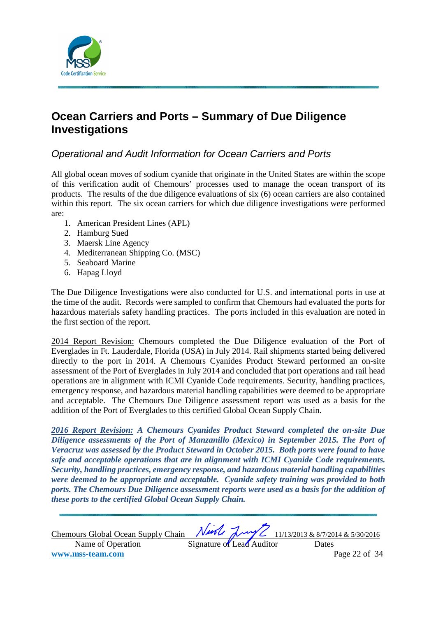

# **Ocean Carriers and Ports – Summary of Due Diligence Investigations**

# Operational and Audit Information for Ocean Carriers and Ports

All global ocean moves of sodium cyanide that originate in the United States are within the scope of this verification audit of Chemours' processes used to manage the ocean transport of its products. The results of the due diligence evaluations of six (6) ocean carriers are also contained within this report. The six ocean carriers for which due diligence investigations were performed are:

- 1. American President Lines (APL)
- 2. Hamburg Sued
- 3. Maersk Line Agency
- 4. Mediterranean Shipping Co. (MSC)
- 5. Seaboard Marine
- 6. Hapag Lloyd

The Due Diligence Investigations were also conducted for U.S. and international ports in use at the time of the audit. Records were sampled to confirm that Chemours had evaluated the ports for hazardous materials safety handling practices. The ports included in this evaluation are noted in the first section of the report.

2014 Report Revision: Chemours completed the Due Diligence evaluation of the Port of Everglades in Ft. Lauderdale, Florida (USA) in July 2014. Rail shipments started being delivered directly to the port in 2014. A Chemours Cyanides Product Steward performed an on-site assessment of the Port of Everglades in July 2014 and concluded that port operations and rail head operations are in alignment with ICMI Cyanide Code requirements. Security, handling practices, emergency response, and hazardous material handling capabilities were deemed to be appropriate and acceptable. The Chemours Due Diligence assessment report was used as a basis for the addition of the Port of Everglades to this certified Global Ocean Supply Chain.

*2016 Report Revision: A Chemours Cyanides Product Steward completed the on-site Due Diligence assessments of the Port of Manzanillo (Mexico) in September 2015. The Port of Veracruz was assessed by the Product Steward in October 2015. Both ports were found to have safe and acceptable operations that are in alignment with ICMI Cyanide Code requirements. Security, handling practices, emergency response, and hazardous material handling capabilities were deemed to be appropriate and acceptable. Cyanide safety training was provided to both ports. The Chemours Due Diligence assessment reports were used as a basis for the addition of these ports to the certified Global Ocean Supply Chain.* 

| Chemours Global Ocean Supply Chain |                           |  | Nurle Luy 2 11/13/2013 & 8/7/2014 & 5/30/2016 |
|------------------------------------|---------------------------|--|-----------------------------------------------|
| Name of Operation                  | Signature of Lead Auditor |  | Dates                                         |
| www.mss-team.com                   |                           |  | Page 22 of 34                                 |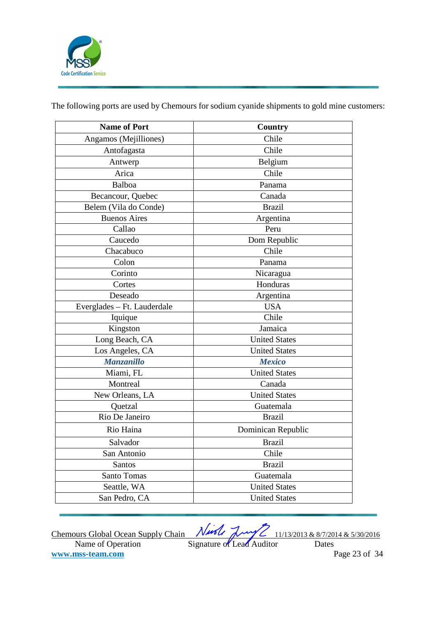

The following ports are used by Chemours for sodium cyanide shipments to gold mine customers:

| <b>Name of Port</b>         | Country              |
|-----------------------------|----------------------|
| Angamos (Mejilliones)       | Chile                |
| Antofagasta                 | Chile                |
| Antwerp                     | Belgium              |
| Arica                       | Chile                |
| Balboa                      | Panama               |
| Becancour, Quebec           | Canada               |
| Belem (Vila do Conde)       | <b>Brazil</b>        |
| <b>Buenos Aires</b>         | Argentina            |
| Callao                      | Peru                 |
| Caucedo                     | Dom Republic         |
| Chacabuco                   | Chile                |
| Colon                       | Panama               |
| Corinto                     | Nicaragua            |
| Cortes                      | Honduras             |
| Deseado                     | Argentina            |
| Everglades - Ft. Lauderdale | <b>USA</b>           |
| Iquique                     | Chile                |
| Kingston                    | Jamaica              |
| Long Beach, CA              | <b>United States</b> |
| Los Angeles, CA             | <b>United States</b> |
| <b>Manzanillo</b>           | <b>Mexico</b>        |
| Miami, FL                   | <b>United States</b> |
| Montreal                    | Canada               |
| New Orleans, LA             | <b>United States</b> |
| Quetzal                     | Guatemala            |
| Rio De Janeiro              | <b>Brazil</b>        |
| Rio Haina                   | Dominican Republic   |
| Salvador                    | <b>Brazil</b>        |
| San Antonio                 | Chile                |
| Santos                      | <b>Brazil</b>        |
| Santo Tomas                 | Guatemala            |
| Seattle, WA                 | <b>United States</b> |
| San Pedro, CA               | <b>United States</b> |
|                             |                      |

Chemours Global Ocean Supply Chain  $\sqrt{1/100}$   $\sqrt{1/10}$   $\sqrt{1/13/2013}$  & 8/7/2014 & 5/30/2016 Name of Operation Signature of Lead Auditor Dates **www.mss-team.com** Page 23 of 34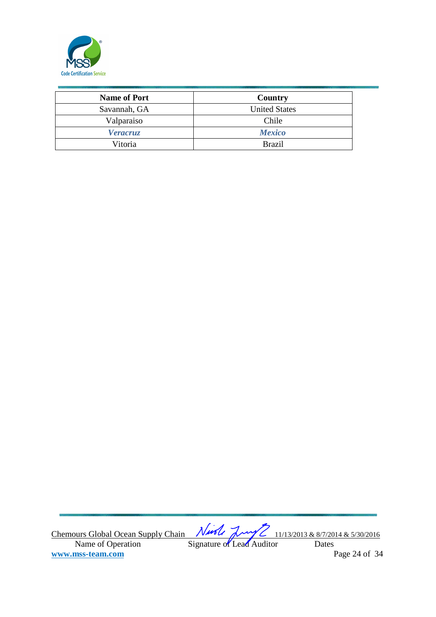

| <b>Name of Port</b> | Country              |
|---------------------|----------------------|
| Savannah, GA        | <b>United States</b> |
| Valparaiso          | Chile                |
| <b>Veracruz</b>     | <b>Mexico</b>        |
| Vitoria             | <b>Brazil</b>        |

Chemours Global Ocean Supply Chain  $\sqrt{1/100}$   $\sqrt{1/10}$   $\sqrt{1/13/2013}$  & 8/7/2014 & 5/30/2016 Name of Operation Signature of Lead Auditor Dates **www.mss-team.com** Page 24 of 34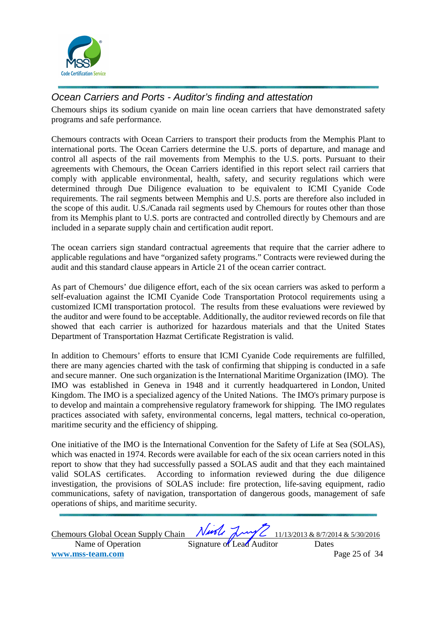

# Ocean Carriers and Ports - Auditor's finding and attestation

Chemours ships its sodium cyanide on main line ocean carriers that have demonstrated safety programs and safe performance.

Chemours contracts with Ocean Carriers to transport their products from the Memphis Plant to international ports. The Ocean Carriers determine the U.S. ports of departure, and manage and control all aspects of the rail movements from Memphis to the U.S. ports. Pursuant to their agreements with Chemours, the Ocean Carriers identified in this report select rail carriers that comply with applicable environmental, health, safety, and security regulations which were determined through Due Diligence evaluation to be equivalent to ICMI Cyanide Code requirements. The rail segments between Memphis and U.S. ports are therefore also included in the scope of this audit. U.S./Canada rail segments used by Chemours for routes other than those from its Memphis plant to U.S. ports are contracted and controlled directly by Chemours and are included in a separate supply chain and certification audit report.

The ocean carriers sign standard contractual agreements that require that the carrier adhere to applicable regulations and have "organized safety programs." Contracts were reviewed during the audit and this standard clause appears in Article 21 of the ocean carrier contract.

As part of Chemours' due diligence effort, each of the six ocean carriers was asked to perform a self-evaluation against the ICMI Cyanide Code Transportation Protocol requirements using a customized ICMI transportation protocol. The results from these evaluations were reviewed by the auditor and were found to be acceptable. Additionally, the auditor reviewed records on file that showed that each carrier is authorized for hazardous materials and that the United States Department of Transportation Hazmat Certificate Registration is valid.

In addition to Chemours' efforts to ensure that ICMI Cyanide Code requirements are fulfilled, there are many agencies charted with the task of confirming that shipping is conducted in a safe and secure manner. One such organization is the International Maritime Organization (IMO). The IMO was established in Geneva in 1948 and it currently headquartered in London, United Kingdom. The IMO is a specialized agency of the United Nations. The IMO's primary purpose is to develop and maintain a comprehensive regulatory framework for shipping. The IMO regulates practices associated with safety, environmental concerns, legal matters, technical co-operation, maritime security and the efficiency of shipping.

One initiative of the IMO is the International Convention for the Safety of Life at Sea (SOLAS), which was enacted in 1974. Records were available for each of the six ocean carriers noted in this report to show that they had successfully passed a SOLAS audit and that they each maintained valid SOLAS certificates. According to information reviewed during the due diligence investigation, the provisions of SOLAS include: fire protection, life-saving equipment, radio communications, safety of navigation, transportation of dangerous goods, management of safe operations of ships, and maritime security.

| <b>Chemours Global Ocean Supply Chain</b> |                           |  | Nurste Luy 2 11/13/2013 & 8/7/2014 & 5/30/2016 |
|-------------------------------------------|---------------------------|--|------------------------------------------------|
| Name of Operation                         | Signature of Lead Auditor |  | Dates                                          |
| www.mss-team.com                          |                           |  | Page 25 of 34                                  |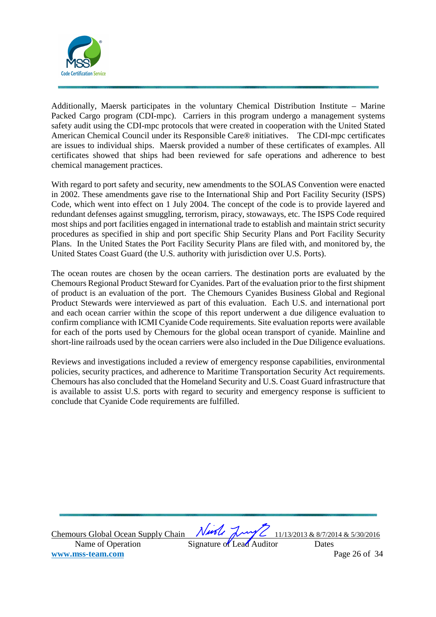

Additionally, Maersk participates in the voluntary Chemical Distribution Institute – Marine Packed Cargo program (CDI-mpc). Carriers in this program undergo a management systems safety audit using the CDI-mpc protocols that were created in cooperation with the United Stated American Chemical Council under its Responsible Care® initiatives. The CDI-mpc certificates are issues to individual ships. Maersk provided a number of these certificates of examples. All certificates showed that ships had been reviewed for safe operations and adherence to best chemical management practices.

With regard to port safety and security, new amendments to the SOLAS Convention were enacted in 2002. These amendments gave rise to the International Ship and Port Facility Security (ISPS) Code, which went into effect on 1 July 2004. The concept of the code is to provide layered and redundant defenses against smuggling, terrorism, piracy, stowaways, etc. The ISPS Code required most ships and port facilities engaged in international trade to establish and maintain strict security procedures as specified in ship and port specific Ship Security Plans and Port Facility Security Plans. In the United States the Port Facility Security Plans are filed with, and monitored by, the United States Coast Guard (the U.S. authority with jurisdiction over U.S. Ports).

The ocean routes are chosen by the ocean carriers. The destination ports are evaluated by the Chemours Regional Product Steward for Cyanides. Part of the evaluation prior to the first shipment of product is an evaluation of the port. The Chemours Cyanides Business Global and Regional Product Stewards were interviewed as part of this evaluation. Each U.S. and international port and each ocean carrier within the scope of this report underwent a due diligence evaluation to confirm compliance with ICMI Cyanide Code requirements. Site evaluation reports were available for each of the ports used by Chemours for the global ocean transport of cyanide. Mainline and short-line railroads used by the ocean carriers were also included in the Due Diligence evaluations.

Reviews and investigations included a review of emergency response capabilities, environmental policies, security practices, and adherence to Maritime Transportation Security Act requirements. Chemours has also concluded that the Homeland Security and U.S. Coast Guard infrastructure that is available to assist U.S. ports with regard to security and emergency response is sufficient to conclude that Cyanide Code requirements are fulfilled.

Name of Operation Signature of Lead Auditor Dates **www.mss-team.com** Page 26 of 34

Chemours Global Ocean Supply Chain  $\sqrt{1/100}$   $\sqrt{1/10}$   $\sqrt{1/13/2013}$  & 8/7/2014 & 5/30/2016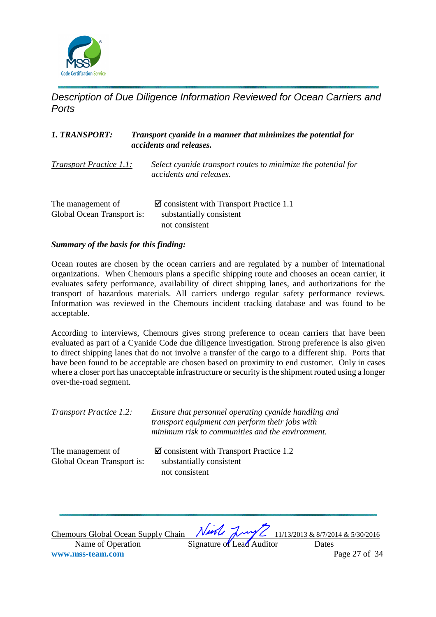

Description of Due Diligence Information Reviewed for Ocean Carriers and **Ports** 

| 1. TRANSPORT:                                   | Transport cyanide in a manner that minimizes the potential for<br>accidents and releases.           |
|-------------------------------------------------|-----------------------------------------------------------------------------------------------------|
| Transport Practice 1.1:                         | Select cyanide transport routes to minimize the potential for<br>accidents and releases.            |
| The management of<br>Global Ocean Transport is: | $\blacksquare$ consistent with Transport Practice 1.1<br>substantially consistent<br>not consistent |

## *Summary of the basis for this finding:*

Ocean routes are chosen by the ocean carriers and are regulated by a number of international organizations. When Chemours plans a specific shipping route and chooses an ocean carrier, it evaluates safety performance, availability of direct shipping lanes, and authorizations for the transport of hazardous materials. All carriers undergo regular safety performance reviews. Information was reviewed in the Chemours incident tracking database and was found to be acceptable.

According to interviews, Chemours gives strong preference to ocean carriers that have been evaluated as part of a Cyanide Code due diligence investigation. Strong preference is also given to direct shipping lanes that do not involve a transfer of the cargo to a different ship. Ports that have been found to be acceptable are chosen based on proximity to end customer. Only in cases where a closer port has unacceptable infrastructure or security is the shipment routed using a longer over-the-road segment.

| Transport Practice 1.2:                         | Ensure that personnel operating cyanide handling and<br>transport equipment can perform their jobs with<br>minimum risk to communities and the environment. |
|-------------------------------------------------|-------------------------------------------------------------------------------------------------------------------------------------------------------------|
| The management of<br>Global Ocean Transport is: | $\blacksquare$ consistent with Transport Practice 1.2<br>substantially consistent<br>not consistent                                                         |

Chemours Global Ocean Supply Chain  $\sqrt{1/100}$   $\sqrt{1/10}$   $\sqrt{1/13/2013}$  & 8/7/2014 & 5/30/2016 Name of Operation Signature of Lead Auditor Dates **www.mss-team.com** Page 27 of 34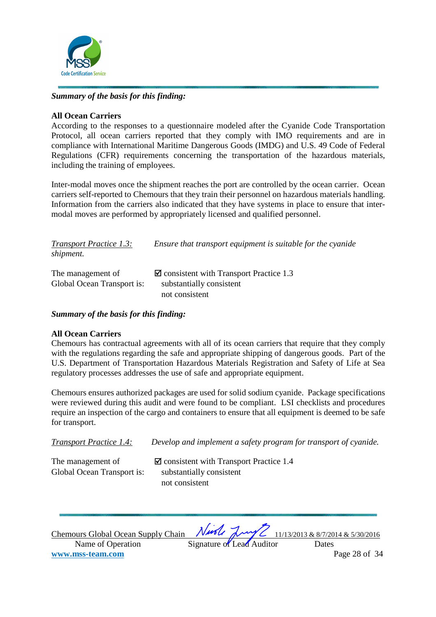

# *Summary of the basis for this finding:*

## **All Ocean Carriers**

According to the responses to a questionnaire modeled after the Cyanide Code Transportation Protocol, all ocean carriers reported that they comply with IMO requirements and are in compliance with International Maritime Dangerous Goods (IMDG) and U.S. 49 Code of Federal Regulations (CFR) requirements concerning the transportation of the hazardous materials, including the training of employees.

Inter-modal moves once the shipment reaches the port are controlled by the ocean carrier. Ocean carriers self-reported to Chemours that they train their personnel on hazardous materials handling. Information from the carriers also indicated that they have systems in place to ensure that intermodal moves are performed by appropriately licensed and qualified personnel.

| <b>Transport Practice 1.3:</b><br>shipment.     | Ensure that transport equipment is suitable for the cyanide                                         |
|-------------------------------------------------|-----------------------------------------------------------------------------------------------------|
| The management of<br>Global Ocean Transport is: | $\blacksquare$ consistent with Transport Practice 1.3<br>substantially consistent<br>not consistent |

## *Summary of the basis for this finding:*

## **All Ocean Carriers**

Chemours has contractual agreements with all of its ocean carriers that require that they comply with the regulations regarding the safe and appropriate shipping of dangerous goods. Part of the U.S. Department of Transportation Hazardous Materials Registration and Safety of Life at Sea regulatory processes addresses the use of safe and appropriate equipment.

Chemours ensures authorized packages are used for solid sodium cyanide. Package specifications were reviewed during this audit and were found to be compliant. LSI checklists and procedures require an inspection of the cargo and containers to ensure that all equipment is deemed to be safe for transport.

*Transport Practice 1.4: Develop and implement a safety program for transport of cyanide.* 

The management of Global Ocean Transport is: substantially consistent

 $\blacksquare$  consistent with Transport Practice 1.4 not consistent

Chemours Global Ocean Supply Chain  $\sqrt{1/100}$   $\sqrt{1/10}$   $\sqrt{1/13/2013}$  & 8/7/2014 & 5/30/2016 Name of Operation Signature of Lead Auditor Dates **www.mss-team.com** Page 28 of 34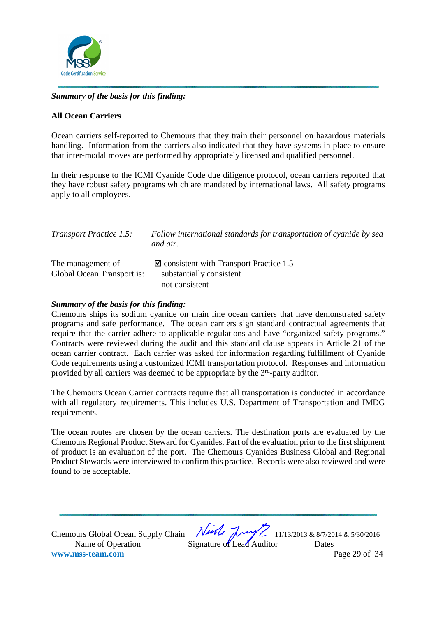

# *Summary of the basis for this finding:*

## **All Ocean Carriers**

Ocean carriers self-reported to Chemours that they train their personnel on hazardous materials handling. Information from the carriers also indicated that they have systems in place to ensure that inter-modal moves are performed by appropriately licensed and qualified personnel.

In their response to the ICMI Cyanide Code due diligence protocol, ocean carriers reported that they have robust safety programs which are mandated by international laws. All safety programs apply to all employees.

| <b>Transport Practice 1.5:</b>                  | Follow international standards for transportation of cyanide by sea<br>and air.                     |
|-------------------------------------------------|-----------------------------------------------------------------------------------------------------|
| The management of<br>Global Ocean Transport is: | $\blacksquare$ consistent with Transport Practice 1.5<br>substantially consistent<br>not consistent |

#### *Summary of the basis for this finding:*

Chemours ships its sodium cyanide on main line ocean carriers that have demonstrated safety programs and safe performance. The ocean carriers sign standard contractual agreements that require that the carrier adhere to applicable regulations and have "organized safety programs." Contracts were reviewed during the audit and this standard clause appears in Article 21 of the ocean carrier contract. Each carrier was asked for information regarding fulfillment of Cyanide Code requirements using a customized ICMI transportation protocol. Responses and information provided by all carriers was deemed to be appropriate by the 3rd-party auditor.

The Chemours Ocean Carrier contracts require that all transportation is conducted in accordance with all regulatory requirements. This includes U.S. Department of Transportation and IMDG requirements.

The ocean routes are chosen by the ocean carriers. The destination ports are evaluated by the Chemours Regional Product Steward for Cyanides. Part of the evaluation prior to the first shipment of product is an evaluation of the port. The Chemours Cyanides Business Global and Regional Product Stewards were interviewed to confirm this practice. Records were also reviewed and were found to be acceptable.

| Chemours Global Ocean Supply Chain Night Long 2 11/13/2013 & 8/7/2014 & 5/30/2016 |                           |               |
|-----------------------------------------------------------------------------------|---------------------------|---------------|
| Name of Operation                                                                 | Signature of Lead Auditor | Dates         |
| www.mss-team.com                                                                  |                           | Page 29 of 34 |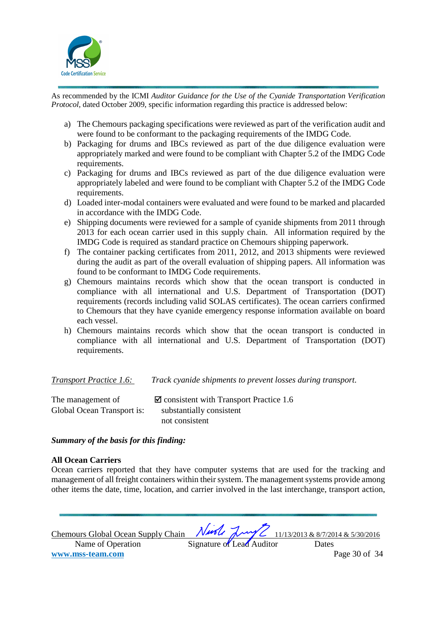

As recommended by the ICMI *Auditor Guidance for the Use of the Cyanide Transportation Verification Protocol,* dated October 2009, specific information regarding this practice is addressed below:

- a) The Chemours packaging specifications were reviewed as part of the verification audit and were found to be conformant to the packaging requirements of the IMDG Code.
- b) Packaging for drums and IBCs reviewed as part of the due diligence evaluation were appropriately marked and were found to be compliant with Chapter 5.2 of the IMDG Code requirements.
- c) Packaging for drums and IBCs reviewed as part of the due diligence evaluation were appropriately labeled and were found to be compliant with Chapter 5.2 of the IMDG Code requirements.
- d) Loaded inter-modal containers were evaluated and were found to be marked and placarded in accordance with the IMDG Code.
- e) Shipping documents were reviewed for a sample of cyanide shipments from 2011 through 2013 for each ocean carrier used in this supply chain. All information required by the IMDG Code is required as standard practice on Chemours shipping paperwork.
- f) The container packing certificates from 2011, 2012, and 2013 shipments were reviewed during the audit as part of the overall evaluation of shipping papers. All information was found to be conformant to IMDG Code requirements.
- g) Chemours maintains records which show that the ocean transport is conducted in compliance with all international and U.S. Department of Transportation (DOT) requirements (records including valid SOLAS certificates). The ocean carriers confirmed to Chemours that they have cyanide emergency response information available on board each vessel.
- h) Chemours maintains records which show that the ocean transport is conducted in compliance with all international and U.S. Department of Transportation (DOT) requirements.

*Transport Practice 1.6: Track cyanide shipments to prevent losses during transport.* 

| The management of          | $\blacksquare$ consistent with Transport Practice 1.6 |
|----------------------------|-------------------------------------------------------|
| Global Ocean Transport is: | substantially consistent                              |
|                            | not consistent                                        |

## *Summary of the basis for this finding:*

## **All Ocean Carriers**

Ocean carriers reported that they have computer systems that are used for the tracking and management of all freight containers within their system. The management systems provide among other items the date, time, location, and carrier involved in the last interchange, transport action,

Chemours Global Ocean Supply Chain  $\sqrt{1/100}$   $\sqrt{1/10}$   $\sqrt{1/13/2013}$  & 8/7/2014 & 5/30/2016 Name of Operation Signature of Lead Auditor Dates **www.mss-team.com** Page 30 of 34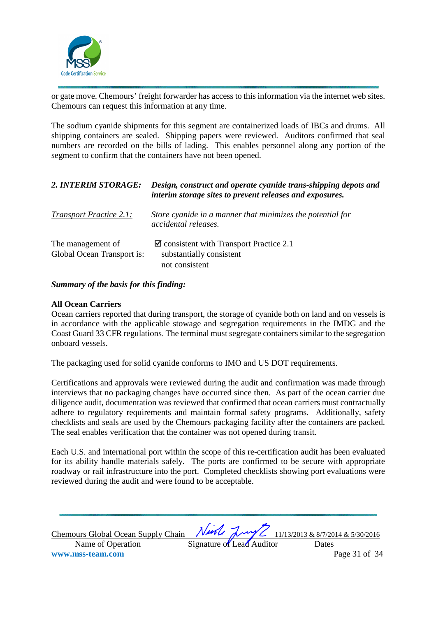

or gate move. Chemours' freight forwarder has access to this information via the internet web sites. Chemours can request this information at any time.

The sodium cyanide shipments for this segment are containerized loads of IBCs and drums. All shipping containers are sealed. Shipping papers were reviewed. Auditors confirmed that seal numbers are recorded on the bills of lading. This enables personnel along any portion of the segment to confirm that the containers have not been opened.

| 2. INTERIM STORAGE:                             | Design, construct and operate cyanide trans-shipping depots and<br>interim storage sites to prevent releases and exposures. |
|-------------------------------------------------|-----------------------------------------------------------------------------------------------------------------------------|
| <b>Transport Practice 2.1:</b>                  | Store cyanide in a manner that minimizes the potential for<br>accidental releases.                                          |
| The management of<br>Global Ocean Transport is: | $\blacksquare$ consistent with Transport Practice 2.1<br>substantially consistent<br>not consistent                         |

## *Summary of the basis for this finding:*

## **All Ocean Carriers**

Ocean carriers reported that during transport, the storage of cyanide both on land and on vessels is in accordance with the applicable stowage and segregation requirements in the IMDG and the Coast Guard 33 CFR regulations. The terminal must segregate containers similar to the segregation onboard vessels.

The packaging used for solid cyanide conforms to IMO and US DOT requirements.

Certifications and approvals were reviewed during the audit and confirmation was made through interviews that no packaging changes have occurred since then. As part of the ocean carrier due diligence audit, documentation was reviewed that confirmed that ocean carriers must contractually adhere to regulatory requirements and maintain formal safety programs. Additionally, safety checklists and seals are used by the Chemours packaging facility after the containers are packed. The seal enables verification that the container was not opened during transit.

Each U.S. and international port within the scope of this re-certification audit has been evaluated for its ability handle materials safely. The ports are confirmed to be secure with appropriate roadway or rail infrastructure into the port. Completed checklists showing port evaluations were reviewed during the audit and were found to be acceptable.

| Chemours Global Ocean Supply Chain |                           | Ningle Luy 2 11/13/2013 & 8/7/2014 & 5/30/2016 |
|------------------------------------|---------------------------|------------------------------------------------|
| Name of Operation                  | Signature of Lead Auditor | Dates                                          |
| www.mss-team.com                   |                           | Page 31 of 34                                  |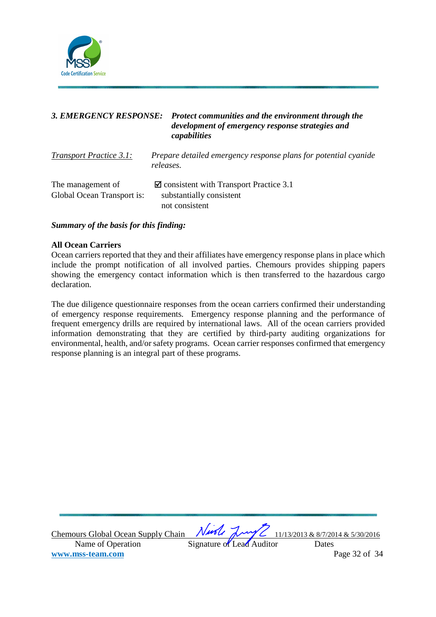

| <b>3. EMERGENCY RESPONSE:</b>                   | Protect communities and the environment through the<br>development of emergency response strategies and<br>capabilities |
|-------------------------------------------------|-------------------------------------------------------------------------------------------------------------------------|
| <b>Transport Practice 3.1:</b>                  | Prepare detailed emergency response plans for potential cyanide<br>releases.                                            |
| The management of<br>Global Ocean Transport is: | $\blacksquare$ consistent with Transport Practice 3.1<br>substantially consistent<br>not consistent                     |

*Summary of the basis for this finding:* 

## **All Ocean Carriers**

Ocean carriers reported that they and their affiliates have emergency response plans in place which include the prompt notification of all involved parties. Chemours provides shipping papers showing the emergency contact information which is then transferred to the hazardous cargo declaration.

The due diligence questionnaire responses from the ocean carriers confirmed their understanding of emergency response requirements. Emergency response planning and the performance of frequent emergency drills are required by international laws. All of the ocean carriers provided information demonstrating that they are certified by third-party auditing organizations for environmental, health, and/or safety programs. Ocean carrier responses confirmed that emergency response planning is an integral part of these programs.

Chemours Global Ocean Supply Chain  $\sqrt{1/100}$   $\sqrt{1/10}$   $\sqrt{1/13/2013}$  & 8/7/2014 & 5/30/2016 Name of Operation Signature of Lead Auditor Dates **www.mss-team.com** Page 32 of 34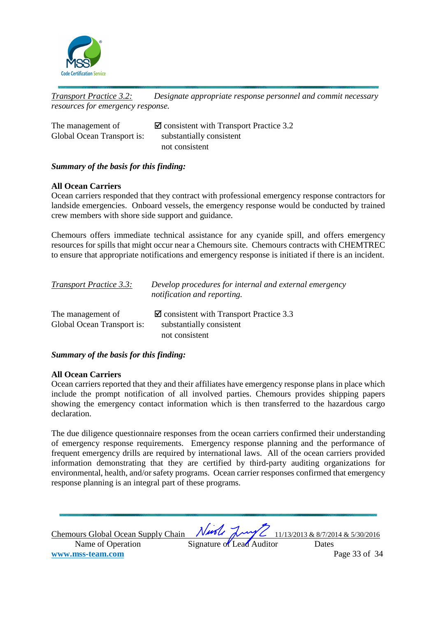

*Transport Practice 3.2: Designate appropriate response personnel and commit necessary resources for emergency response.* 

| The management of          | $\blacksquare$ consistent with Transport Practice 3.2 |
|----------------------------|-------------------------------------------------------|
| Global Ocean Transport is: | substantially consistent                              |
|                            | not consistent                                        |

## *Summary of the basis for this finding:*

## **All Ocean Carriers**

Ocean carriers responded that they contract with professional emergency response contractors for landside emergencies. Onboard vessels, the emergency response would be conducted by trained crew members with shore side support and guidance.

Chemours offers immediate technical assistance for any cyanide spill, and offers emergency resources for spills that might occur near a Chemours site. Chemours contracts with CHEMTREC to ensure that appropriate notifications and emergency response is initiated if there is an incident.

| <b>Transport Practice 3.3:</b> | Develop procedures for internal and external emergency<br>notification and reporting. |
|--------------------------------|---------------------------------------------------------------------------------------|
| The management of              | $\blacksquare$ consistent with Transport Practice 3.3                                 |
| Global Ocean Transport is:     | substantially consistent                                                              |
|                                | not consistent                                                                        |

## *Summary of the basis for this finding:*

## **All Ocean Carriers**

Ocean carriers reported that they and their affiliates have emergency response plans in place which include the prompt notification of all involved parties. Chemours provides shipping papers showing the emergency contact information which is then transferred to the hazardous cargo declaration.

The due diligence questionnaire responses from the ocean carriers confirmed their understanding of emergency response requirements. Emergency response planning and the performance of frequent emergency drills are required by international laws. All of the ocean carriers provided information demonstrating that they are certified by third-party auditing organizations for environmental, health, and/or safety programs. Ocean carrier responses confirmed that emergency response planning is an integral part of these programs.

| <b>Chemours Global Ocean Supply Chain</b> |                           |  | Nurle Luy 2 11/13/2013 & 8/7/2014 & 5/30/2016 |
|-------------------------------------------|---------------------------|--|-----------------------------------------------|
| Name of Operation                         | Signature of Lead Auditor |  | Dates                                         |
| www.mss-team.com                          |                           |  | Page 33 of 34                                 |